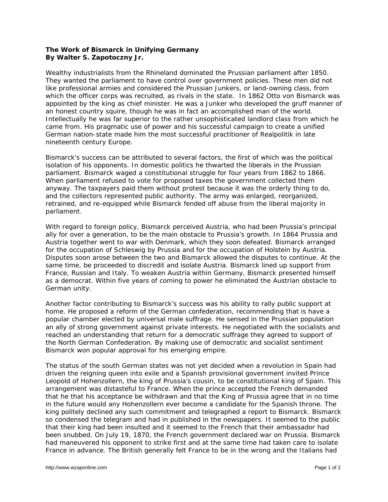## **The Work of Bismarck in Unifying Germany By Walter S. Zapotoczny Jr.**

Wealthy industrialists from the Rhineland dominated the Prussian parliament after 1850. They wanted the parliament to have control over government policies. These men did not like professional armies and considered the Prussian Junkers, or land-owning class, from which the officer corps was recruited, as rivals in the state. In 1862 Otto von Bismarck was appointed by the king as chief minister. He was a Junker who developed the gruff manner of an honest country squire, though he was in fact an accomplished man of the world. Intellectually he was far superior to the rather unsophisticated landlord class from which he came from. His pragmatic use of power and his successful campaign to create a unified German nation-state made him the most successful practitioner of *Realpolitik* in late nineteenth century Europe.

Bismarck's success can be attributed to several factors, the first of which was the political isolation of his opponents. In domestic politics he thwarted the liberals in the Prussian parliament. Bismarck waged a constitutional struggle for four years from 1862 to 1866. When parliament refused to vote for proposed taxes the government collected them anyway. The taxpayers paid them without protest because it was the orderly thing to do, and the collectors represented public authority. The army was enlarged, reorganized, retrained, and re-equipped while Bismarck fended off abuse from the liberal majority in parliament.

With regard to foreign policy, Bismarck perceived Austria, who had been Prussia's principal ally for over a generation, to be the main obstacle to Prussia's growth. In 1864 Prussia and Austria together went to war with Denmark, which they soon defeated. Bismarck arranged for the occupation of Schleswig by Prussia and for the occupation of Holstein by Austria. Disputes soon arose between the two and Bismarck allowed the disputes to continue. At the same time, be proceeded to discredit and isolate Austria. Bismarck lined up support from France, Russian and Italy. To weaken Austria within Germany, Bismarck presented himself as a democrat. Within five years of coming to power he eliminated the Austrian obstacle to German unity.

Another factor contributing to Bismarck's success was his ability to rally public support at home. He proposed a reform of the German confederation, recommending that is have a popular chamber elected by universal male suffrage. He sensed in the Prussian population an ally of strong government against private interests. He negotiated with the socialists and reached an understanding that return for a democratic suffrage they agreed to support of the North German Confederation. By making use of democratic and socialist sentiment Bismarck won popular approval for his emerging empire.

The status of the south German states was not yet decided when a revolution in Spain had driven the reigning queen into exile and a Spanish provisional government invited Prince Leopold of Hohenzollern, the king of Prussia's cousin, to be constitutional king of Spain. This arrangement was distasteful to France. When the prince accepted the French demanded that he that his acceptance be withdrawn and that the King of Prussia agree that in no time in the future would any Hohenzollern ever become a candidate for the Spanish throne. The king politely declined any such commitment and telegraphed a report to Bismarck. Bismarck so condensed the telegram and had in published in the newspapers. It seemed to the public that their king had been insulted and it seemed to the French that their ambassador had been snubbed. On July 19, 1870, the French government declared war on Prussia. Bismarck had maneuvered his opponent to strike first and at the same time had taken care to isolate France in advance. The British generally felt France to be in the wrong and the Italians had